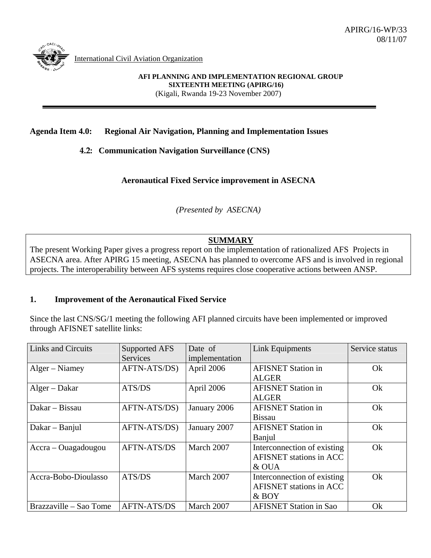

International Civil Aviation Organization

**AFI PLANNING AND IMPLEMENTATION REGIONAL GROUP SIXTEENTH MEETING (APIRG/16)**  (Kigali, Rwanda 19-23 November 2007)

### **Agenda Item 4.0: Regional Air Navigation, Planning and Implementation Issues**

**4.2: Communication Navigation Surveillance (CNS)** 

**Aeronautical Fixed Service improvement in ASECNA** 

*(Presented by ASECNA)* 

# **SUMMARY**

The present Working Paper gives a progress report on the implementation of rationalized AFS Projects in ASECNA area. After APIRG 15 meeting, ASECNA has planned to overcome AFS and is involved in regional projects. The interoperability between AFS systems requires close cooperative actions between ANSP.

#### **1. Improvement of the Aeronautical Fixed Service**

Since the last CNS/SG/1 meeting the following AFI planned circuits have been implemented or improved through AFISNET satellite links:

| <b>Links and Circuits</b> | Supported AFS<br>Services | Date of<br>implementation | <b>Link Equipments</b>                                                 | Service status |
|---------------------------|---------------------------|---------------------------|------------------------------------------------------------------------|----------------|
| Alger – Niamey            | AFTN-ATS/DS)              | April 2006                | <b>AFISNET Station in</b><br><b>ALGER</b>                              | Ok             |
| Alger – Dakar             | ATS/DS                    | April 2006                | <b>AFISNET Station in</b><br><b>ALGER</b>                              | Ok             |
| Dakar – Bissau            | AFTN-ATS/DS)              | January 2006              | <b>AFISNET Station in</b><br><b>Bissau</b>                             | Ok             |
| Dakar - Banjul            | AFTN-ATS/DS)              | January 2007              | <b>AFISNET Station in</b><br>Banjul                                    | Ok             |
| $Accra - Ouagadougou$     | <b>AFTN-ATS/DS</b>        | March 2007                | Interconnection of existing<br><b>AFISNET</b> stations in ACC<br>& OUA | Ok             |
| Accra-Bobo-Dioulasso      | ATS/DS                    | March 2007                | Interconnection of existing<br><b>AFISNET</b> stations in ACC<br>& BOY | Ok             |
| Brazzaville – Sao Tome    | <b>AFTN-ATS/DS</b>        | March 2007                | <b>AFISNET Station in Sao</b>                                          | Ok             |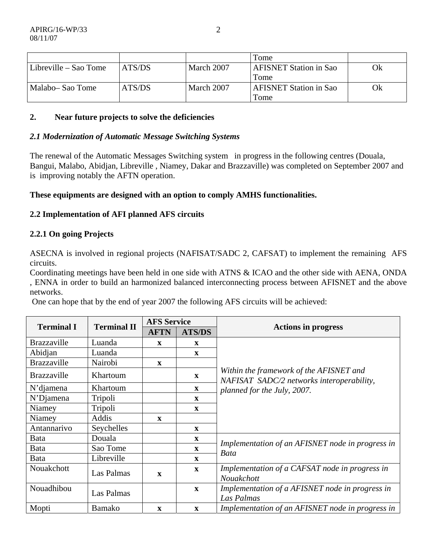|                       |        |            | Tome                          |    |
|-----------------------|--------|------------|-------------------------------|----|
| Libreville – Sao Tome | ATS/DS | March 2007 | <b>AFISNET Station in Sao</b> | Ok |
|                       |        |            | Tome                          |    |
| Malabo– Sao Tome      | ATS/DS | March 2007 | <b>AFISNET Station in Sao</b> | Ok |
|                       |        |            | Tome                          |    |

## **2. Near future projects to solve the deficiencies**

#### *2.1 Modernization of Automatic Message Switching Systems*

The renewal of the Automatic Messages Switching system in progress in the following centres (Douala, Bangui, Malabo, Abidjan, Libreville , Niamey, Dakar and Brazzaville) was completed on September 2007 and is improving notably the AFTN operation.

### **These equipments are designed with an option to comply AMHS functionalities.**

### **2.2 Implementation of AFI planned AFS circuits**

### **2.2.1 On going Projects**

ASECNA is involved in regional projects (NAFISAT/SADC 2, CAFSAT) to implement the remaining AFS circuits.

Coordinating meetings have been held in one side with ATNS & ICAO and the other side with AENA, ONDA , ENNA in order to build an harmonized balanced interconnecting process between AFISNET and the above networks.

One can hope that by the end of year 2007 the following AFS circuits will be achieved:

| <b>Terminal I</b>  | <b>Terminal II</b> | <b>AFS Service</b> |               |                                                                                      |
|--------------------|--------------------|--------------------|---------------|--------------------------------------------------------------------------------------|
|                    |                    | <b>AFTN</b>        | <b>ATS/DS</b> | <b>Actions in progress</b>                                                           |
| <b>Brazzaville</b> | Luanda             | $\mathbf x$        | X             |                                                                                      |
| Abidjan            | Luanda             |                    | $\mathbf{X}$  |                                                                                      |
| <b>Brazzaville</b> | Nairobi            | $\mathbf x$        |               |                                                                                      |
| <b>Brazzaville</b> | Khartoum           |                    | $\mathbf{x}$  | Within the framework of the AFISNET and<br>NAFISAT SADC/2 networks interoperability, |
| N'diamena          | Khartoum           |                    | $\mathbf{x}$  | planned for the July, 2007.                                                          |
| $N'D$ jamena       | Tripoli            |                    | $\mathbf{X}$  |                                                                                      |
| Niamey             | Tripoli            |                    | $\mathbf{X}$  |                                                                                      |
| Niamey             | Addis              | $\mathbf{x}$       |               |                                                                                      |
| Antannarivo        | Seychelles         |                    | $\mathbf{X}$  |                                                                                      |
| Bata               | Douala             |                    | $\mathbf X$   |                                                                                      |
| Bata               | Sao Tome           |                    | $\mathbf X$   | Implementation of an AFISNET node in progress in<br><b>Bata</b>                      |
| Bata               | Libreville         |                    | $\mathbf{x}$  |                                                                                      |
| Nouakchott         | Las Palmas         | $\mathbf x$        | $\mathbf{x}$  | Implementation of a CAFSAT node in progress in<br>Nouakchott                         |
| Nouadhibou         |                    |                    | $\mathbf X$   | Implementation of a AFISNET node in progress in                                      |
|                    | Las Palmas         |                    |               | Las Palmas                                                                           |
| Mopti              | <b>Bamako</b>      | $\mathbf{x}$       | $\mathbf{X}$  | Implementation of an AFISNET node in progress in                                     |